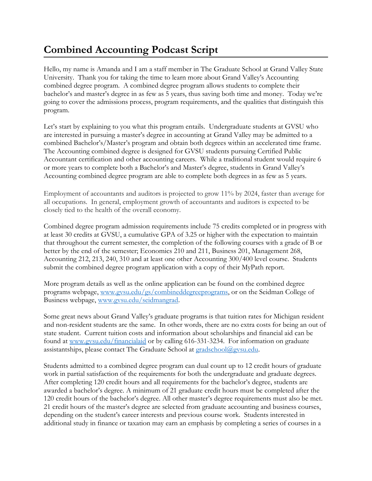## **Combined Accounting Podcast Script**

Hello, my name is Amanda and I am a staff member in The Graduate School at Grand Valley State University. Thank you for taking the time to learn more about Grand Valley's Accounting combined degree program. A combined degree program allows students to complete their bachelor's and master's degree in as few as 5 years, thus saving both time and money. Today we're going to cover the admissions process, program requirements, and the qualities that distinguish this program.

Let's start by explaining to you what this program entails. Undergraduate students at GVSU who are interested in pursuing a master's degree in accounting at Grand Valley may be admitted to a combined Bachelor's/Master's program and obtain both degrees within an accelerated time frame. The Accounting combined degree is designed for GVSU students pursuing Certified Public Accountant certification and other accounting careers. While a traditional student would require 6 or more years to complete both a Bachelor's and Master's degree, students in Grand Valley's Accounting combined degree program are able to complete both degrees in as few as 5 years.

Employment of accountants and auditors is projected to grow 11% by 2024, faster than average for all occupations. In general, employment growth of accountants and auditors is expected to be closely tied to the health of the overall economy.

Combined degree program admission requirements include 75 credits completed or in progress with at least 30 credits at GVSU, a cumulative GPA of 3.25 or higher with the expectation to maintain that throughout the current semester, the completion of the following courses with a grade of B or better by the end of the semester; Economics 210 and 211, Business 201, Management 268, Accounting 212, 213, 240, 310 and at least one other Accounting 300/400 level course. Students submit the combined degree program application with a copy of their MyPath report.

More program details as well as the online application can be found on the combined degree programs webpage, [www.gvsu.edu/gs/combineddegreeprograms,](http://www.gvsu.edu/gs/combineddegreeprograms) or on the Seidman College of Business webpage, [www.gvsu.edu/seidmangrad.](http://www.gvsu.edu/seidmangrad)

Some great news about Grand Valley's graduate programs is that tuition rates for Michigan resident and non-resident students are the same. In other words, there are no extra costs for being an out of state student. Current tuition costs and information about scholarships and financial aid can be found at [www.gvsu.edu/financialaid](http://www.gvsu.edu/financialaid) or by calling 616-331-3234. For information on graduate assistantships, please contact The Graduate School at [gradschool@gvsu.edu.](mailto:gradschool@gvsu.edu)

Students admitted to a combined degree program can dual count up to 12 credit hours of graduate work in partial satisfaction of the requirements for both the undergraduate and graduate degrees. After completing 120 credit hours and all requirements for the bachelor's degree, students are awarded a bachelor's degree. A minimum of 21 graduate credit hours must be completed after the 120 credit hours of the bachelor's degree. All other master's degree requirements must also be met. 21 credit hours of the master's degree are selected from graduate accounting and business courses, depending on the student's career interests and previous course work. Students interested in additional study in finance or taxation may earn an emphasis by completing a series of courses in a